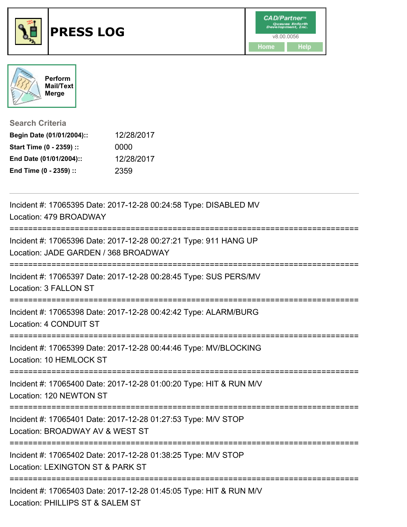



**Search Criteria**

| Begin Date (01/01/2004):: | 12/28/2017 |
|---------------------------|------------|
| Start Time (0 - 2359) ::  | 0000       |
| End Date (01/01/2004)::   | 12/28/2017 |
| End Time (0 - 2359) ::    | 2359       |

| Incident #: 17065395 Date: 2017-12-28 00:24:58 Type: DISABLED MV<br>Location: 479 BROADWAY                                                 |
|--------------------------------------------------------------------------------------------------------------------------------------------|
| Incident #: 17065396 Date: 2017-12-28 00:27:21 Type: 911 HANG UP<br>Location: JADE GARDEN / 368 BROADWAY<br>;============================= |
| Incident #: 17065397 Date: 2017-12-28 00:28:45 Type: SUS PERS/MV<br>Location: 3 FALLON ST                                                  |
| Incident #: 17065398 Date: 2017-12-28 00:42:42 Type: ALARM/BURG<br>Location: 4 CONDUIT ST                                                  |
| Incident #: 17065399 Date: 2017-12-28 00:44:46 Type: MV/BLOCKING<br>Location: 10 HEMLOCK ST                                                |
| Incident #: 17065400 Date: 2017-12-28 01:00:20 Type: HIT & RUN M/V<br>Location: 120 NEWTON ST                                              |
| Incident #: 17065401 Date: 2017-12-28 01:27:53 Type: M/V STOP<br>Location: BROADWAY AV & WEST ST<br>______________________                 |
| Incident #: 17065402 Date: 2017-12-28 01:38:25 Type: M/V STOP<br>Location: LEXINGTON ST & PARK ST<br>-----------                           |
| Incident #: 17065403 Date: 2017-12-28 01:45:05 Type: HIT & RUN M/V<br>Location: PHILLIPS ST & SALEM ST                                     |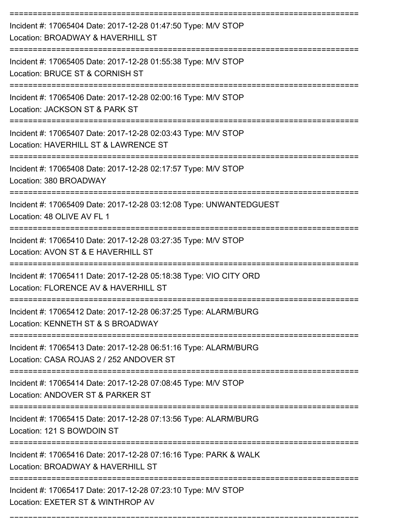| Incident #: 17065404 Date: 2017-12-28 01:47:50 Type: M/V STOP<br>Location: BROADWAY & HAVERHILL ST                                      |
|-----------------------------------------------------------------------------------------------------------------------------------------|
| Incident #: 17065405 Date: 2017-12-28 01:55:38 Type: M/V STOP<br>Location: BRUCE ST & CORNISH ST                                        |
| Incident #: 17065406 Date: 2017-12-28 02:00:16 Type: M/V STOP<br>Location: JACKSON ST & PARK ST                                         |
| Incident #: 17065407 Date: 2017-12-28 02:03:43 Type: M/V STOP<br>Location: HAVERHILL ST & LAWRENCE ST                                   |
| Incident #: 17065408 Date: 2017-12-28 02:17:57 Type: M/V STOP<br>Location: 380 BROADWAY                                                 |
| Incident #: 17065409 Date: 2017-12-28 03:12:08 Type: UNWANTEDGUEST<br>Location: 48 OLIVE AV FL 1                                        |
| Incident #: 17065410 Date: 2017-12-28 03:27:35 Type: M/V STOP<br>Location: AVON ST & E HAVERHILL ST                                     |
| Incident #: 17065411 Date: 2017-12-28 05:18:38 Type: VIO CITY ORD<br>Location: FLORENCE AV & HAVERHILL ST                               |
| Incident #: 17065412 Date: 2017-12-28 06:37:25 Type: ALARM/BURG<br>Location: KENNETH ST & S BROADWAY                                    |
| Incident #: 17065413 Date: 2017-12-28 06:51:16 Type: ALARM/BURG<br>Location: CASA ROJAS 2 / 252 ANDOVER ST                              |
| ==================================<br>Incident #: 17065414 Date: 2017-12-28 07:08:45 Type: M/V STOP<br>Location: ANDOVER ST & PARKER ST |
| Incident #: 17065415 Date: 2017-12-28 07:13:56 Type: ALARM/BURG<br>Location: 121 S BOWDOIN ST                                           |
| Incident #: 17065416 Date: 2017-12-28 07:16:16 Type: PARK & WALK<br>Location: BROADWAY & HAVERHILL ST                                   |
| Incident #: 17065417 Date: 2017-12-28 07:23:10 Type: M/V STOP<br>Location: EXETER ST & WINTHROP AV                                      |

===========================================================================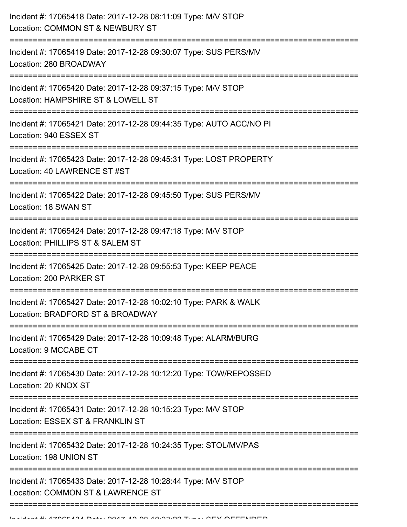| Incident #: 17065418 Date: 2017-12-28 08:11:09 Type: M/V STOP<br>Location: COMMON ST & NEWBURY ST         |
|-----------------------------------------------------------------------------------------------------------|
| ===========<br>Incident #: 17065419 Date: 2017-12-28 09:30:07 Type: SUS PERS/MV<br>Location: 280 BROADWAY |
| Incident #: 17065420 Date: 2017-12-28 09:37:15 Type: M/V STOP<br>Location: HAMPSHIRE ST & LOWELL ST       |
| Incident #: 17065421 Date: 2017-12-28 09:44:35 Type: AUTO ACC/NO PI<br>Location: 940 ESSEX ST             |
| Incident #: 17065423 Date: 2017-12-28 09:45:31 Type: LOST PROPERTY<br>Location: 40 LAWRENCE ST #ST        |
| Incident #: 17065422 Date: 2017-12-28 09:45:50 Type: SUS PERS/MV<br>Location: 18 SWAN ST                  |
| Incident #: 17065424 Date: 2017-12-28 09:47:18 Type: M/V STOP<br>Location: PHILLIPS ST & SALEM ST         |
| Incident #: 17065425 Date: 2017-12-28 09:55:53 Type: KEEP PEACE<br>Location: 200 PARKER ST                |
| Incident #: 17065427 Date: 2017-12-28 10:02:10 Type: PARK & WALK<br>Location: BRADFORD ST & BROADWAY      |
| Incident #: 17065429 Date: 2017-12-28 10:09:48 Type: ALARM/BURG<br>Location: 9 MCCABE CT                  |
| Incident #: 17065430 Date: 2017-12-28 10:12:20 Type: TOW/REPOSSED<br>Location: 20 KNOX ST                 |
| Incident #: 17065431 Date: 2017-12-28 10:15:23 Type: M/V STOP<br>Location: ESSEX ST & FRANKLIN ST         |
| Incident #: 17065432 Date: 2017-12-28 10:24:35 Type: STOL/MV/PAS<br>Location: 198 UNION ST                |
| Incident #: 17065433 Date: 2017-12-28 10:28:44 Type: M/V STOP<br>Location: COMMON ST & LAWRENCE ST        |
|                                                                                                           |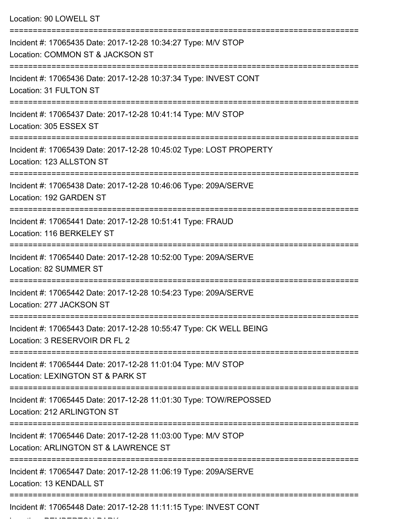| Location: 90 LOWELL ST                                                                                |
|-------------------------------------------------------------------------------------------------------|
| Incident #: 17065435 Date: 2017-12-28 10:34:27 Type: M/V STOP<br>Location: COMMON ST & JACKSON ST     |
| Incident #: 17065436 Date: 2017-12-28 10:37:34 Type: INVEST CONT<br>Location: 31 FULTON ST            |
| Incident #: 17065437 Date: 2017-12-28 10:41:14 Type: M/V STOP<br>Location: 305 ESSEX ST               |
| Incident #: 17065439 Date: 2017-12-28 10:45:02 Type: LOST PROPERTY<br>Location: 123 ALLSTON ST        |
| Incident #: 17065438 Date: 2017-12-28 10:46:06 Type: 209A/SERVE<br>Location: 192 GARDEN ST            |
| Incident #: 17065441 Date: 2017-12-28 10:51:41 Type: FRAUD<br>Location: 116 BERKELEY ST               |
| Incident #: 17065440 Date: 2017-12-28 10:52:00 Type: 209A/SERVE<br>Location: 82 SUMMER ST             |
| Incident #: 17065442 Date: 2017-12-28 10:54:23 Type: 209A/SERVE<br>Location: 277 JACKSON ST           |
| Incident #: 17065443 Date: 2017-12-28 10:55:47 Type: CK WELL BEING<br>Location: 3 RESERVOIR DR FL 2   |
| Incident #: 17065444 Date: 2017-12-28 11:01:04 Type: M/V STOP<br>Location: LEXINGTON ST & PARK ST     |
| Incident #: 17065445 Date: 2017-12-28 11:01:30 Type: TOW/REPOSSED<br>Location: 212 ARLINGTON ST       |
| Incident #: 17065446 Date: 2017-12-28 11:03:00 Type: M/V STOP<br>Location: ARLINGTON ST & LAWRENCE ST |
| Incident #: 17065447 Date: 2017-12-28 11:06:19 Type: 209A/SERVE<br>Location: 13 KENDALL ST            |
| Incident #: 17065448 Date: 2017-12-28 11:11:15 Type: INVEST CONT                                      |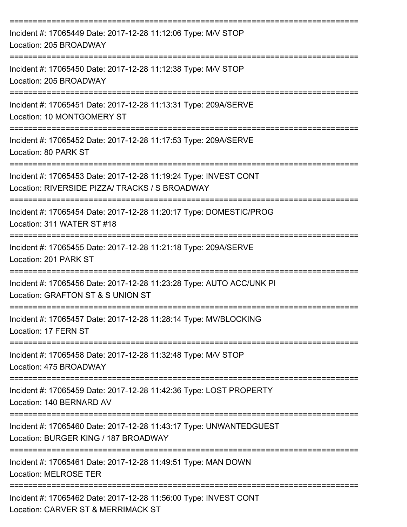| Incident #: 17065449 Date: 2017-12-28 11:12:06 Type: M/V STOP<br>Location: 205 BROADWAY                                                                             |
|---------------------------------------------------------------------------------------------------------------------------------------------------------------------|
| Incident #: 17065450 Date: 2017-12-28 11:12:38 Type: M/V STOP<br>Location: 205 BROADWAY                                                                             |
| Incident #: 17065451 Date: 2017-12-28 11:13:31 Type: 209A/SERVE<br>Location: 10 MONTGOMERY ST                                                                       |
| Incident #: 17065452 Date: 2017-12-28 11:17:53 Type: 209A/SERVE<br>Location: 80 PARK ST                                                                             |
| Incident #: 17065453 Date: 2017-12-28 11:19:24 Type: INVEST CONT<br>Location: RIVERSIDE PIZZA/ TRACKS / S BROADWAY                                                  |
| Incident #: 17065454 Date: 2017-12-28 11:20:17 Type: DOMESTIC/PROG<br>Location: 311 WATER ST #18                                                                    |
| Incident #: 17065455 Date: 2017-12-28 11:21:18 Type: 209A/SERVE<br>Location: 201 PARK ST                                                                            |
| Incident #: 17065456 Date: 2017-12-28 11:23:28 Type: AUTO ACC/UNK PI<br>Location: GRAFTON ST & S UNION ST                                                           |
| Incident #: 17065457 Date: 2017-12-28 11:28:14 Type: MV/BLOCKING<br>Location: 17 FERN ST                                                                            |
| -------------------------------------<br>===============================<br>Incident #: 17065458 Date: 2017-12-28 11:32:48 Type: M/V STOP<br>Location: 475 BROADWAY |
| Incident #: 17065459 Date: 2017-12-28 11:42:36 Type: LOST PROPERTY<br>Location: 140 BERNARD AV                                                                      |
| ==================================<br>Incident #: 17065460 Date: 2017-12-28 11:43:17 Type: UNWANTEDGUEST<br>Location: BURGER KING / 187 BROADWAY                    |
| Incident #: 17065461 Date: 2017-12-28 11:49:51 Type: MAN DOWN<br><b>Location: MELROSE TER</b>                                                                       |
| Incident #: 17065462 Date: 2017-12-28 11:56:00 Type: INVEST CONT<br>Location: CARVER ST & MERRIMACK ST                                                              |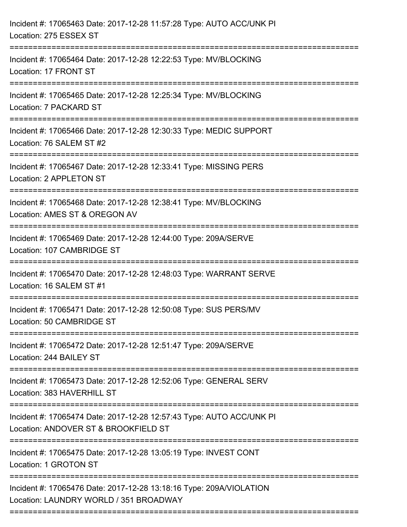| Incident #: 17065463 Date: 2017-12-28 11:57:28 Type: AUTO ACC/UNK PI<br>Location: 275 ESSEX ST                |
|---------------------------------------------------------------------------------------------------------------|
| Incident #: 17065464 Date: 2017-12-28 12:22:53 Type: MV/BLOCKING<br>Location: 17 FRONT ST                     |
| Incident #: 17065465 Date: 2017-12-28 12:25:34 Type: MV/BLOCKING<br>Location: 7 PACKARD ST                    |
| Incident #: 17065466 Date: 2017-12-28 12:30:33 Type: MEDIC SUPPORT<br>Location: 76 SALEM ST #2                |
| Incident #: 17065467 Date: 2017-12-28 12:33:41 Type: MISSING PERS<br>Location: 2 APPLETON ST                  |
| Incident #: 17065468 Date: 2017-12-28 12:38:41 Type: MV/BLOCKING<br>Location: AMES ST & OREGON AV             |
| Incident #: 17065469 Date: 2017-12-28 12:44:00 Type: 209A/SERVE<br>Location: 107 CAMBRIDGE ST                 |
| Incident #: 17065470 Date: 2017-12-28 12:48:03 Type: WARRANT SERVE<br>Location: 16 SALEM ST #1                |
| Incident #: 17065471 Date: 2017-12-28 12:50:08 Type: SUS PERS/MV<br>Location: 50 CAMBRIDGE ST                 |
| Incident #: 17065472 Date: 2017-12-28 12:51:47 Type: 209A/SERVE<br>Location: 244 BAILEY ST                    |
| Incident #: 17065473 Date: 2017-12-28 12:52:06 Type: GENERAL SERV<br>Location: 383 HAVERHILL ST               |
| Incident #: 17065474 Date: 2017-12-28 12:57:43 Type: AUTO ACC/UNK PI<br>Location: ANDOVER ST & BROOKFIELD ST  |
| Incident #: 17065475 Date: 2017-12-28 13:05:19 Type: INVEST CONT<br>Location: 1 GROTON ST                     |
| Incident #: 17065476 Date: 2017-12-28 13:18:16 Type: 209A/VIOLATION<br>Location: LAUNDRY WORLD / 351 BROADWAY |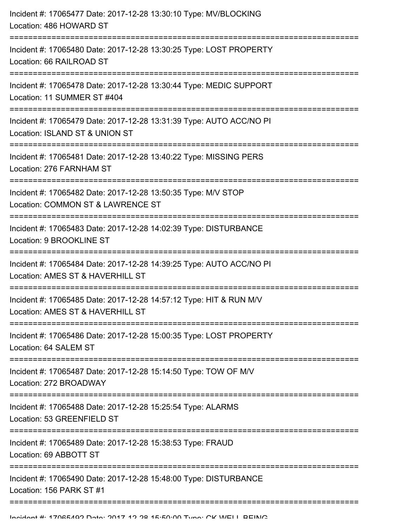| Incident #: 17065477 Date: 2017-12-28 13:30:10 Type: MV/BLOCKING<br>Location: 486 HOWARD ST                                 |
|-----------------------------------------------------------------------------------------------------------------------------|
| Incident #: 17065480 Date: 2017-12-28 13:30:25 Type: LOST PROPERTY<br>Location: 66 RAILROAD ST                              |
| Incident #: 17065478 Date: 2017-12-28 13:30:44 Type: MEDIC SUPPORT<br>Location: 11 SUMMER ST #404                           |
| Incident #: 17065479 Date: 2017-12-28 13:31:39 Type: AUTO ACC/NO PI<br>Location: ISLAND ST & UNION ST                       |
| Incident #: 17065481 Date: 2017-12-28 13:40:22 Type: MISSING PERS<br>Location: 276 FARNHAM ST                               |
| Incident #: 17065482 Date: 2017-12-28 13:50:35 Type: M/V STOP<br>Location: COMMON ST & LAWRENCE ST                          |
| Incident #: 17065483 Date: 2017-12-28 14:02:39 Type: DISTURBANCE<br>Location: 9 BROOKLINE ST                                |
| Incident #: 17065484 Date: 2017-12-28 14:39:25 Type: AUTO ACC/NO PI<br>Location: AMES ST & HAVERHILL ST<br>---------------- |
| Incident #: 17065485 Date: 2017-12-28 14:57:12 Type: HIT & RUN M/V<br>Location: AMES ST & HAVERHILL ST                      |
| Incident #: 17065486 Date: 2017-12-28 15:00:35 Type: LOST PROPERTY<br>Location: 64 SALEM ST                                 |
| Incident #: 17065487 Date: 2017-12-28 15:14:50 Type: TOW OF M/V<br>Location: 272 BROADWAY                                   |
| Incident #: 17065488 Date: 2017-12-28 15:25:54 Type: ALARMS<br>Location: 53 GREENFIELD ST                                   |
| Incident #: 17065489 Date: 2017-12-28 15:38:53 Type: FRAUD<br>Location: 69 ABBOTT ST                                        |
| Incident #: 17065490 Date: 2017-12-28 15:48:00 Type: DISTURBANCE<br>Location: 156 PARK ST #1                                |
|                                                                                                                             |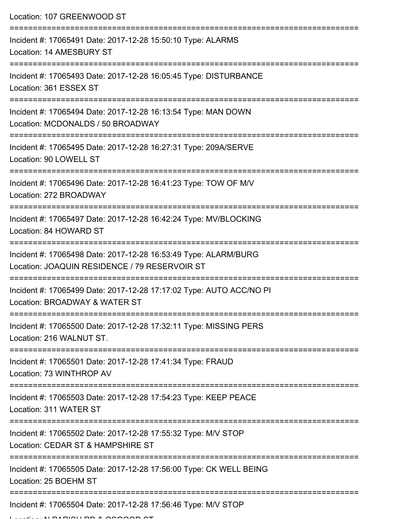Location: 107 GREENWOOD ST

| Incident #: 17065491 Date: 2017-12-28 15:50:10 Type: ALARMS<br>Location: 14 AMESBURY ST                          |
|------------------------------------------------------------------------------------------------------------------|
| Incident #: 17065493 Date: 2017-12-28 16:05:45 Type: DISTURBANCE<br>Location: 361 ESSEX ST                       |
| Incident #: 17065494 Date: 2017-12-28 16:13:54 Type: MAN DOWN<br>Location: MCDONALDS / 50 BROADWAY               |
| Incident #: 17065495 Date: 2017-12-28 16:27:31 Type: 209A/SERVE<br>Location: 90 LOWELL ST                        |
| Incident #: 17065496 Date: 2017-12-28 16:41:23 Type: TOW OF M/V<br>Location: 272 BROADWAY                        |
| Incident #: 17065497 Date: 2017-12-28 16:42:24 Type: MV/BLOCKING<br>Location: 84 HOWARD ST                       |
| Incident #: 17065498 Date: 2017-12-28 16:53:49 Type: ALARM/BURG<br>Location: JOAQUIN RESIDENCE / 79 RESERVOIR ST |
| Incident #: 17065499 Date: 2017-12-28 17:17:02 Type: AUTO ACC/NO PI<br>Location: BROADWAY & WATER ST             |
| Incident #: 17065500 Date: 2017-12-28 17:32:11 Type: MISSING PERS<br>Location: 216 WALNUT ST.                    |
| Incident #: 17065501 Date: 2017-12-28 17:41:34 Type: FRAUD<br>Location: 73 WINTHROP AV                           |
| Incident #: 17065503 Date: 2017-12-28 17:54:23 Type: KEEP PEACE<br>Location: 311 WATER ST                        |
| Incident #: 17065502 Date: 2017-12-28 17:55:32 Type: M/V STOP<br>Location: CEDAR ST & HAMPSHIRE ST               |
| Incident #: 17065505 Date: 2017-12-28 17:56:00 Type: CK WELL BEING<br>Location: 25 BOEHM ST                      |
| Incident #: 17065504 Date: 2017-12-28 17:56:46 Type: M/V STOP                                                    |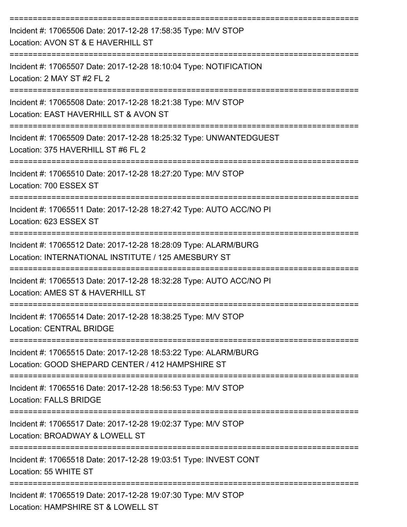| Incident #: 17065506 Date: 2017-12-28 17:58:35 Type: M/V STOP<br>Location: AVON ST & E HAVERHILL ST                    |
|------------------------------------------------------------------------------------------------------------------------|
| Incident #: 17065507 Date: 2017-12-28 18:10:04 Type: NOTIFICATION<br>Location: 2 MAY ST #2 FL 2                        |
| Incident #: 17065508 Date: 2017-12-28 18:21:38 Type: M/V STOP<br>Location: EAST HAVERHILL ST & AVON ST                 |
| Incident #: 17065509 Date: 2017-12-28 18:25:32 Type: UNWANTEDGUEST<br>Location: 375 HAVERHILL ST #6 FL 2               |
| Incident #: 17065510 Date: 2017-12-28 18:27:20 Type: M/V STOP<br>Location: 700 ESSEX ST                                |
| Incident #: 17065511 Date: 2017-12-28 18:27:42 Type: AUTO ACC/NO PI<br>Location: 623 ESSEX ST                          |
| Incident #: 17065512 Date: 2017-12-28 18:28:09 Type: ALARM/BURG<br>Location: INTERNATIONAL INSTITUTE / 125 AMESBURY ST |
| Incident #: 17065513 Date: 2017-12-28 18:32:28 Type: AUTO ACC/NO PI<br>Location: AMES ST & HAVERHILL ST                |
| Incident #: 17065514 Date: 2017-12-28 18:38:25 Type: M/V STOP<br><b>Location: CENTRAL BRIDGE</b>                       |
| Incident #: 17065515 Date: 2017-12-28 18:53:22 Type: ALARM/BURG<br>Location: GOOD SHEPARD CENTER / 412 HAMPSHIRE ST    |
| Incident #: 17065516 Date: 2017-12-28 18:56:53 Type: M/V STOP<br><b>Location: FALLS BRIDGE</b>                         |
| Incident #: 17065517 Date: 2017-12-28 19:02:37 Type: M/V STOP<br>Location: BROADWAY & LOWELL ST                        |
| Incident #: 17065518 Date: 2017-12-28 19:03:51 Type: INVEST CONT<br>Location: 55 WHITE ST                              |
| Incident #: 17065519 Date: 2017-12-28 19:07:30 Type: M/V STOP<br>Location: HAMPSHIRE ST & LOWELL ST                    |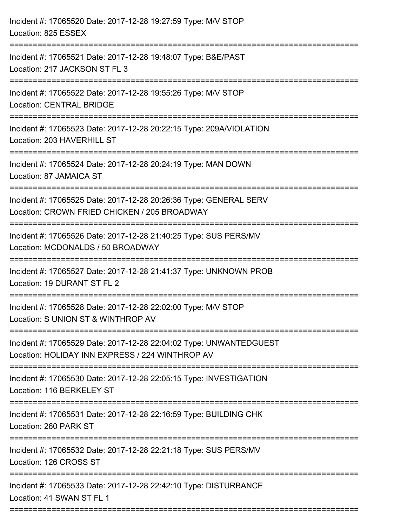| Incident #: 17065520 Date: 2017-12-28 19:27:59 Type: M/V STOP<br>Location: 825 ESSEX                                                   |
|----------------------------------------------------------------------------------------------------------------------------------------|
| Incident #: 17065521 Date: 2017-12-28 19:48:07 Type: B&E/PAST<br>Location: 217 JACKSON ST FL 3                                         |
| Incident #: 17065522 Date: 2017-12-28 19:55:26 Type: M/V STOP<br><b>Location: CENTRAL BRIDGE</b>                                       |
| Incident #: 17065523 Date: 2017-12-28 20:22:15 Type: 209A/VIOLATION<br>Location: 203 HAVERHILL ST                                      |
| Incident #: 17065524 Date: 2017-12-28 20:24:19 Type: MAN DOWN<br>Location: 87 JAMAICA ST                                               |
| Incident #: 17065525 Date: 2017-12-28 20:26:36 Type: GENERAL SERV<br>Location: CROWN FRIED CHICKEN / 205 BROADWAY<br>----------------- |
| Incident #: 17065526 Date: 2017-12-28 21:40:25 Type: SUS PERS/MV<br>Location: MCDONALDS / 50 BROADWAY                                  |
| Incident #: 17065527 Date: 2017-12-28 21:41:37 Type: UNKNOWN PROB<br>Location: 19 DURANT ST FL 2                                       |
| Incident #: 17065528 Date: 2017-12-28 22:02:00 Type: M/V STOP<br>Location: S UNION ST & WINTHROP AV                                    |
| Incident #: 17065529 Date: 2017-12-28 22:04:02 Type: UNWANTEDGUEST<br>Location: HOLIDAY INN EXPRESS / 224 WINTHROP AV                  |
| Incident #: 17065530 Date: 2017-12-28 22:05:15 Type: INVESTIGATION<br>Location: 116 BERKELEY ST                                        |
| Incident #: 17065531 Date: 2017-12-28 22:16:59 Type: BUILDING CHK<br>Location: 260 PARK ST                                             |
| Incident #: 17065532 Date: 2017-12-28 22:21:18 Type: SUS PERS/MV<br>Location: 126 CROSS ST                                             |
| Incident #: 17065533 Date: 2017-12-28 22:42:10 Type: DISTURBANCE<br>Location: 41 SWAN ST FL 1                                          |
|                                                                                                                                        |